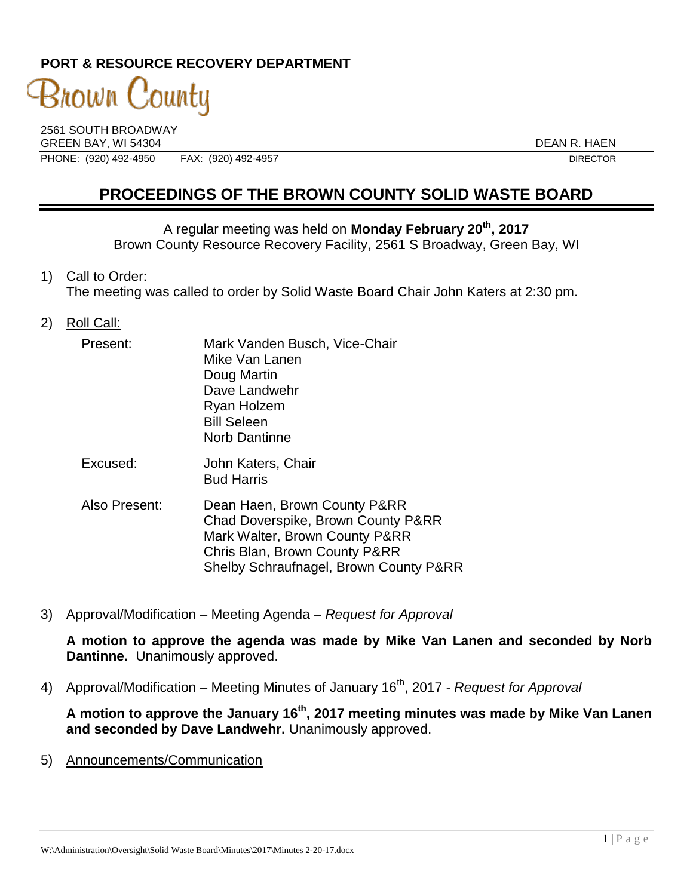# **PORT & RESOURCE RECOVERY DEPARTMENT**

# 3nown County

2561 SOUTH BROADWAY GREEN BAY, WI 54304 DEAN R. HAEN PHONE: (920) 492-4950 FAX: (920) 492-4957 DIRECTOR

# **PROCEEDINGS OF THE BROWN COUNTY SOLID WASTE BOARD**

A regular meeting was held on **Monday February 20th , 2017** Brown County Resource Recovery Facility, 2561 S Broadway, Green Bay, WI

1) Call to Order:

The meeting was called to order by Solid Waste Board Chair John Katers at 2:30 pm.

2) Roll Call:

| Present: | Mark Vanden Busch, Vice-Chair<br>Mike Van Lanen<br>Doug Martin<br>Dave Landwehr<br>Ryan Holzem<br><b>Bill Seleen</b><br><b>Norb Dantinne</b> |
|----------|----------------------------------------------------------------------------------------------------------------------------------------------|
| Excused: | John Katers, Chair                                                                                                                           |

Bud Harris

- Also Present: Dean Haen, Brown County P&RR Chad Doverspike, Brown County P&RR Mark Walter, Brown County P&RR Chris Blan, Brown County P&RR Shelby Schraufnagel, Brown County P&RR
- 3) Approval/Modification Meeting Agenda *Request for Approval*

**A motion to approve the agenda was made by Mike Van Lanen and seconded by Norb Dantinne.** Unanimously approved.

4) Approval/Modification – Meeting Minutes of January 16<sup>th</sup>, 2017 *- Request for Approval* 

**A motion to approve the January 16th , 2017 meeting minutes was made by Mike Van Lanen and seconded by Dave Landwehr.** Unanimously approved.

5) Announcements/Communication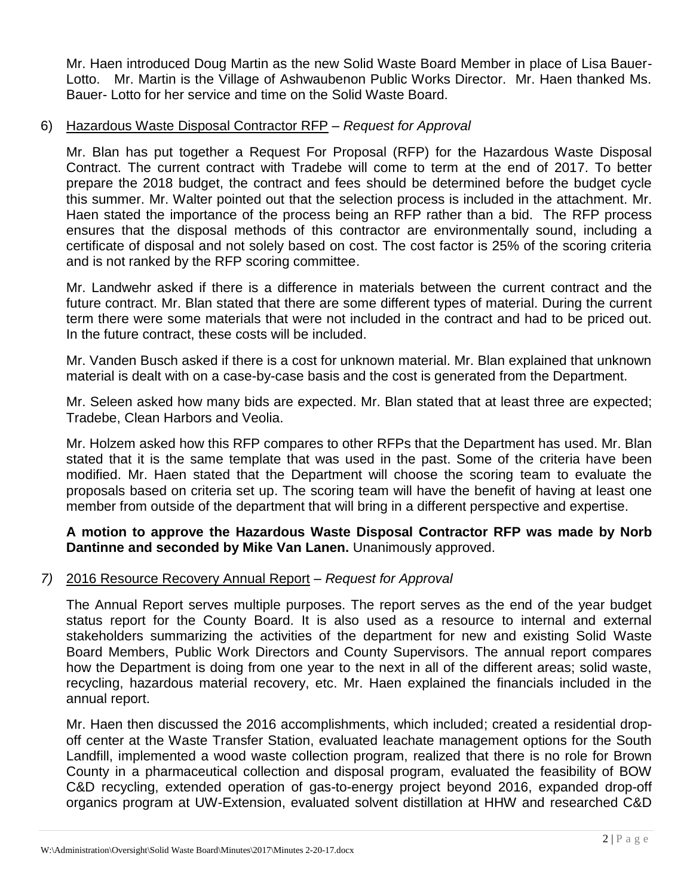Mr. Haen introduced Doug Martin as the new Solid Waste Board Member in place of Lisa Bauer-Lotto. Mr. Martin is the Village of Ashwaubenon Public Works Director. Mr. Haen thanked Ms. Bauer- Lotto for her service and time on the Solid Waste Board.

## 6) Hazardous Waste Disposal Contractor RFP – *Request for Approval*

Mr. Blan has put together a Request For Proposal (RFP) for the Hazardous Waste Disposal Contract. The current contract with Tradebe will come to term at the end of 2017. To better prepare the 2018 budget, the contract and fees should be determined before the budget cycle this summer. Mr. Walter pointed out that the selection process is included in the attachment. Mr. Haen stated the importance of the process being an RFP rather than a bid. The RFP process ensures that the disposal methods of this contractor are environmentally sound, including a certificate of disposal and not solely based on cost. The cost factor is 25% of the scoring criteria and is not ranked by the RFP scoring committee.

Mr. Landwehr asked if there is a difference in materials between the current contract and the future contract. Mr. Blan stated that there are some different types of material. During the current term there were some materials that were not included in the contract and had to be priced out. In the future contract, these costs will be included.

Mr. Vanden Busch asked if there is a cost for unknown material. Mr. Blan explained that unknown material is dealt with on a case-by-case basis and the cost is generated from the Department.

Mr. Seleen asked how many bids are expected. Mr. Blan stated that at least three are expected; Tradebe, Clean Harbors and Veolia.

Mr. Holzem asked how this RFP compares to other RFPs that the Department has used. Mr. Blan stated that it is the same template that was used in the past. Some of the criteria have been modified. Mr. Haen stated that the Department will choose the scoring team to evaluate the proposals based on criteria set up. The scoring team will have the benefit of having at least one member from outside of the department that will bring in a different perspective and expertise.

## **A motion to approve the Hazardous Waste Disposal Contractor RFP was made by Norb Dantinne and seconded by Mike Van Lanen.** Unanimously approved.

#### *7)* 2016 Resource Recovery Annual Report – *Request for Approval*

The Annual Report serves multiple purposes. The report serves as the end of the year budget status report for the County Board. It is also used as a resource to internal and external stakeholders summarizing the activities of the department for new and existing Solid Waste Board Members, Public Work Directors and County Supervisors. The annual report compares how the Department is doing from one year to the next in all of the different areas; solid waste, recycling, hazardous material recovery, etc. Mr. Haen explained the financials included in the annual report.

Mr. Haen then discussed the 2016 accomplishments, which included; created a residential dropoff center at the Waste Transfer Station, evaluated leachate management options for the South Landfill, implemented a wood waste collection program, realized that there is no role for Brown County in a pharmaceutical collection and disposal program, evaluated the feasibility of BOW C&D recycling, extended operation of gas-to-energy project beyond 2016, expanded drop-off organics program at UW-Extension, evaluated solvent distillation at HHW and researched C&D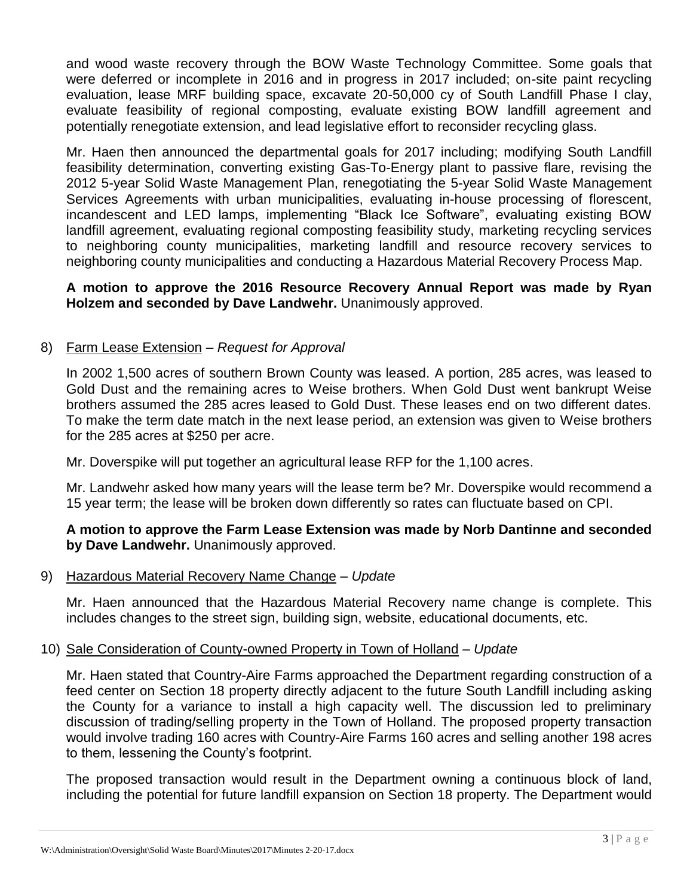and wood waste recovery through the BOW Waste Technology Committee. Some goals that were deferred or incomplete in 2016 and in progress in 2017 included; on-site paint recycling evaluation, lease MRF building space, excavate 20-50,000 cy of South Landfill Phase I clay, evaluate feasibility of regional composting, evaluate existing BOW landfill agreement and potentially renegotiate extension, and lead legislative effort to reconsider recycling glass.

Mr. Haen then announced the departmental goals for 2017 including; modifying South Landfill feasibility determination, converting existing Gas-To-Energy plant to passive flare, revising the 2012 5-year Solid Waste Management Plan, renegotiating the 5-year Solid Waste Management Services Agreements with urban municipalities, evaluating in-house processing of florescent, incandescent and LED lamps, implementing "Black Ice Software", evaluating existing BOW landfill agreement, evaluating regional composting feasibility study, marketing recycling services to neighboring county municipalities, marketing landfill and resource recovery services to neighboring county municipalities and conducting a Hazardous Material Recovery Process Map.

#### **A motion to approve the 2016 Resource Recovery Annual Report was made by Ryan Holzem and seconded by Dave Landwehr.** Unanimously approved.

## 8) Farm Lease Extension – *Request for Approval*

In 2002 1,500 acres of southern Brown County was leased. A portion, 285 acres, was leased to Gold Dust and the remaining acres to Weise brothers. When Gold Dust went bankrupt Weise brothers assumed the 285 acres leased to Gold Dust. These leases end on two different dates. To make the term date match in the next lease period, an extension was given to Weise brothers for the 285 acres at \$250 per acre.

Mr. Doverspike will put together an agricultural lease RFP for the 1,100 acres.

Mr. Landwehr asked how many years will the lease term be? Mr. Doverspike would recommend a 15 year term; the lease will be broken down differently so rates can fluctuate based on CPI.

## **A motion to approve the Farm Lease Extension was made by Norb Dantinne and seconded by Dave Landwehr.** Unanimously approved.

#### 9) Hazardous Material Recovery Name Change – *Update*

Mr. Haen announced that the Hazardous Material Recovery name change is complete. This includes changes to the street sign, building sign, website, educational documents, etc.

#### 10) Sale Consideration of County-owned Property in Town of Holland – *Update*

Mr. Haen stated that Country-Aire Farms approached the Department regarding construction of a feed center on Section 18 property directly adjacent to the future South Landfill including asking the County for a variance to install a high capacity well. The discussion led to preliminary discussion of trading/selling property in the Town of Holland. The proposed property transaction would involve trading 160 acres with Country-Aire Farms 160 acres and selling another 198 acres to them, lessening the County's footprint.

The proposed transaction would result in the Department owning a continuous block of land, including the potential for future landfill expansion on Section 18 property. The Department would